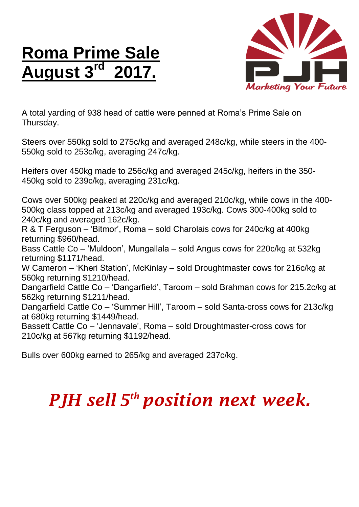## **Roma Prime Sale August 3 rd 2017.**



A total yarding of 938 head of cattle were penned at Roma's Prime Sale on Thursday.

Steers over 550kg sold to 275c/kg and averaged 248c/kg, while steers in the 400- 550kg sold to 253c/kg, averaging 247c/kg.

Heifers over 450kg made to 256c/kg and averaged 245c/kg, heifers in the 350- 450kg sold to 239c/kg, averaging 231c/kg.

Cows over 500kg peaked at 220c/kg and averaged 210c/kg, while cows in the 400- 500kg class topped at 213c/kg and averaged 193c/kg. Cows 300-400kg sold to 240c/kg and averaged 162c/kg.

R & T Ferguson – 'Bitmor', Roma – sold Charolais cows for 240c/kg at 400kg returning \$960/head.

Bass Cattle Co – 'Muldoon', Mungallala – sold Angus cows for 220c/kg at 532kg returning \$1171/head.

W Cameron – 'Kheri Station', McKinlay – sold Droughtmaster cows for 216c/kg at 560kg returning \$1210/head.

Dangarfield Cattle Co – 'Dangarfield', Taroom – sold Brahman cows for 215.2c/kg at 562kg returning \$1211/head.

Dangarfield Cattle Co – 'Summer Hill', Taroom – sold Santa-cross cows for 213c/kg at 680kg returning \$1449/head.

Bassett Cattle Co – 'Jennavale', Roma – sold Droughtmaster-cross cows for 210c/kg at 567kg returning \$1192/head.

Bulls over 600kg earned to 265/kg and averaged 237c/kg.

## *PJH sell 5 th position next week.*